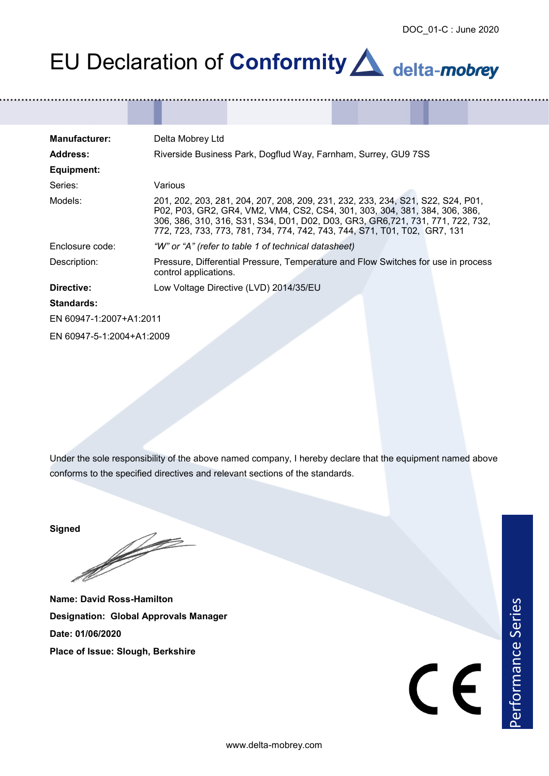## EU Declaration of **Conformity A** delta-mobrey

| <b>Manufacturer:</b>      | Delta Mobrey Ltd                                                                                                                                                                                                                                                                                                               |  |
|---------------------------|--------------------------------------------------------------------------------------------------------------------------------------------------------------------------------------------------------------------------------------------------------------------------------------------------------------------------------|--|
| <b>Address:</b>           | Riverside Business Park, Dogflud Way, Farnham, Surrey, GU9 7SS                                                                                                                                                                                                                                                                 |  |
| Equipment:                |                                                                                                                                                                                                                                                                                                                                |  |
| Series:                   | Various                                                                                                                                                                                                                                                                                                                        |  |
| Models:                   | 201, 202, 203, 281, 204, 207, 208, 209, 231, 232, 233, 234, S21, S22, S24, P01,<br>P02, P03, GR2, GR4, VM2, VM4, CS2, CS4, 301, 303, 304, 381, 384, 306, 386,<br>306, 386, 310, 316, S31, S34, D01, D02, D03, GR3, GR6, 721, 731, 771, 722, 732,<br>772, 723, 733, 773, 781, 734, 774, 742, 743, 744, S71, T01, T02,  GR7, 131 |  |
| Enclosure code:           | "W" or "A" (refer to table 1 of technical datasheet)                                                                                                                                                                                                                                                                           |  |
| Description:              | Pressure, Differential Pressure, Temperature and Flow Switches for use in process<br>control applications.                                                                                                                                                                                                                     |  |
| Directive:                | Low Voltage Directive (LVD) 2014/35/EU                                                                                                                                                                                                                                                                                         |  |
| <b>Standards:</b>         |                                                                                                                                                                                                                                                                                                                                |  |
| EN 60947-1:2007+A1:2011   |                                                                                                                                                                                                                                                                                                                                |  |
| EN 60947-5-1:2004+A1:2009 |                                                                                                                                                                                                                                                                                                                                |  |

Under the sole responsibility of the above named company, I hereby declare that the equipment named above conforms to the specified directives and relevant sections of the standards.

**Signed**

**Simple Strain Service** 

**Name: David Ross-Hamilton Designation: Global Approvals Manager Date: 01/06/2020 Place of Issue: Slough, Berkshire**

Performance Series

www.delta-mobrey.com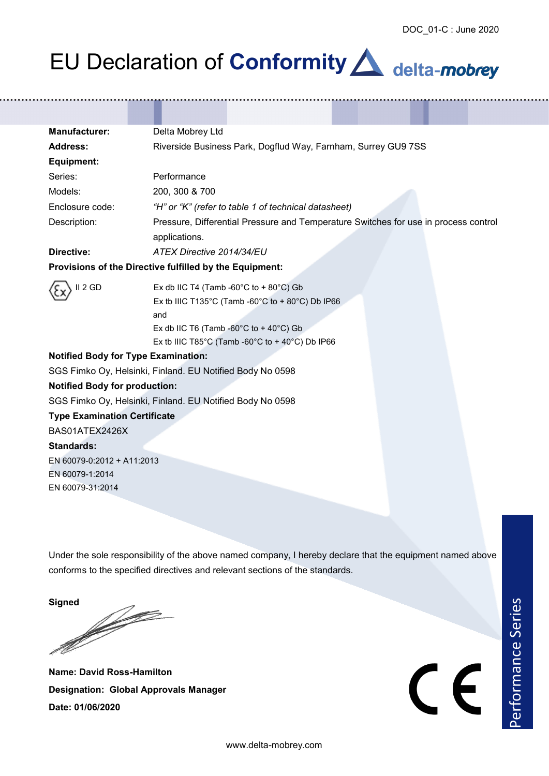## EU Declaration of **Conformity A** delta-mobrey

| <b>Manufacturer:</b>                                      | Delta Mobrey Ltd                                                                                                                                                                                                  |  |
|-----------------------------------------------------------|-------------------------------------------------------------------------------------------------------------------------------------------------------------------------------------------------------------------|--|
| <b>Address:</b>                                           | Riverside Business Park, Dogflud Way, Farnham, Surrey GU9 7SS                                                                                                                                                     |  |
| Equipment:                                                |                                                                                                                                                                                                                   |  |
| Series:                                                   | Performance                                                                                                                                                                                                       |  |
| Models:                                                   | 200, 300 & 700                                                                                                                                                                                                    |  |
| Enclosure code:                                           | "H" or "K" (refer to table 1 of technical datasheet)                                                                                                                                                              |  |
| Description:                                              | Pressure, Differential Pressure and Temperature Switches for use in process control<br>applications.                                                                                                              |  |
| Directive:                                                | ATEX Directive 2014/34/EU                                                                                                                                                                                         |  |
|                                                           | Provisions of the Directive fulfilled by the Equipment:                                                                                                                                                           |  |
| II <sub>2</sub> GD                                        | Ex db IIC T4 (Tamb -60°C to +80°C) Gb<br>Ex tb IIIC T135°C (Tamb -60°C to + 80°C) Db IP66<br>and<br>Ex db IIC T6 (Tamb -60 $^{\circ}$ C to +40 $^{\circ}$ C) Gb<br>Ex tb IIIC T85°C (Tamb -60°C to +40°C) Db IP66 |  |
| <b>Notified Body for Type Examination:</b>                |                                                                                                                                                                                                                   |  |
| SGS Fimko Oy, Helsinki, Finland. EU Notified Body No 0598 |                                                                                                                                                                                                                   |  |
| <b>Notified Body for production:</b>                      |                                                                                                                                                                                                                   |  |
|                                                           | SGS Fimko Oy, Helsinki, Finland. EU Notified Body No 0598                                                                                                                                                         |  |
| <b>Type Examination Certificate</b>                       |                                                                                                                                                                                                                   |  |
| BAS01ATEX2426X                                            |                                                                                                                                                                                                                   |  |
| Standards:                                                |                                                                                                                                                                                                                   |  |
| EN 60079-0:2012 + A11:2013                                |                                                                                                                                                                                                                   |  |
| EN 60079-1:2014                                           |                                                                                                                                                                                                                   |  |
| EN 60079-31:2014                                          |                                                                                                                                                                                                                   |  |
|                                                           |                                                                                                                                                                                                                   |  |

Under the sole responsibility of the above named company, I hereby declare that the equipment named above conforms to the specified directives and relevant sections of the standards.

**Signed**

**Contract Contract Contract Contract Contract Contract Contract Contract Contract Contract Contract Contract C** 

**Name: David Ross-Hamilton Designation: Global Approvals Manager Date: 01/06/2020**